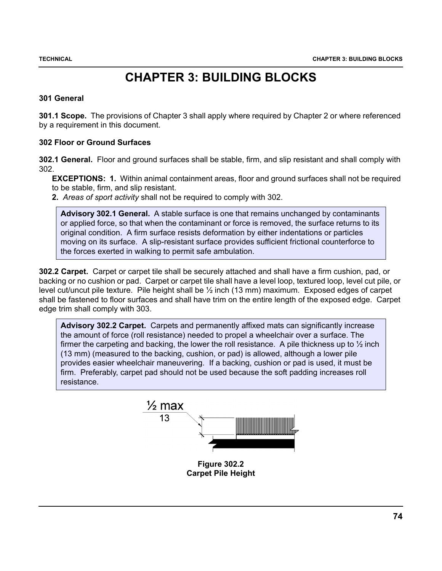# **CHAPTER 3: BUILDING BLOCKS**

# **301 General**

**301.1 Scope.** The provisions of Chapter 3 shall apply where required by Chapter 2 or where referenced by a requirement in this document.

# **302 Floor or Ground Surfaces**

**302.1 General.** Floor and ground surfaces shall be stable, firm, and slip resistant and shall comply with 302.

**EXCEPTIONS: 1.** Within animal containment areas, floor and ground surfaces shall not be required to be stable, firm, and slip resistant.

**2.** *Areas of sport activity* shall not be required to comply with 302.

**Advisory 302.1 General.** A stable surface is one that remains unchanged by contaminants or applied force, so that when the contaminant or force is removed, the surface returns to its original condition. A firm surface resists deformation by either indentations or particles moving on its surface. A slip-resistant surface provides sufficient frictional counterforce to the forces exerted in walking to permit safe ambulation.

**302.2 Carpet.** Carpet or carpet tile shall be securely attached and shall have a firm cushion, pad, or backing or no cushion or pad. Carpet or carpet tile shall have a level loop, textured loop, level cut pile, or level cut/uncut pile texture. Pile height shall be ½ inch (13 mm) maximum. Exposed edges of carpet shall be fastened to floor surfaces and shall have trim on the entire length of the exposed edge. Carpet edge trim shall comply with 303.

**Advisory 302.2 Carpet.** Carpets and permanently affixed mats can significantly increase the amount of force (roll resistance) needed to propel a wheelchair over a surface. The firmer the carpeting and backing, the lower the roll resistance. A pile thickness up to  $\frac{1}{2}$  inch (13 mm) (measured to the backing, cushion, or pad) is allowed, although a lower pile provides easier wheelchair maneuvering. If a backing, cushion or pad is used, it must be firm. Preferably, carpet pad should not be used because the soft padding increases roll resistance.



**Figure 302.2 Carpet Pile Height**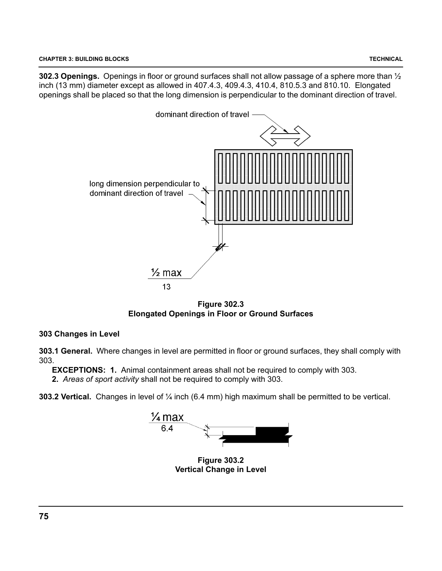**CHAPTER 3: BUILDING BLOCKS TECHNICAL**

**302.3 Openings.** Openings in floor or ground surfaces shall not allow passage of a sphere more than ½ inch (13 mm) diameter except as allowed in 407.4.3, 409.4.3, 410.4, 810.5.3 and 810.10. Elongated openings shall be placed so that the long dimension is perpendicular to the dominant direction of travel.



**Figure 302.3 Elongated Openings in Floor or Ground Surfaces**

# **303 Changes in Level**

**303.1 General.** Where changes in level are permitted in floor or ground surfaces, they shall comply with 303.

**EXCEPTIONS: 1.** Animal containment areas shall not be required to comply with 303.

**2.** *Areas of sport activity* shall not be required to comply with 303.

**303.2 Vertical.** Changes in level of ¼ inch (6.4 mm) high maximum shall be permitted to be vertical.



**Figure 303.2 Vertical Change in Level**